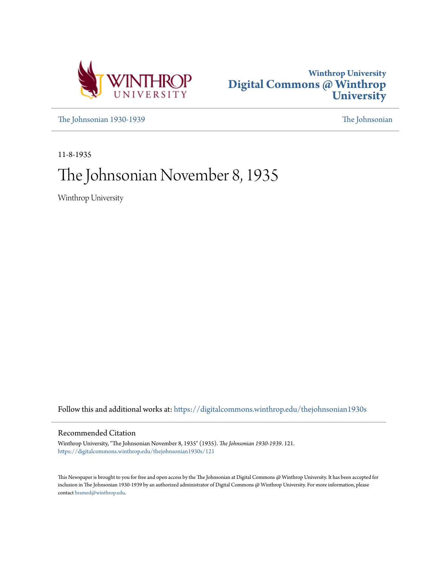



[The Johnsonian 1930-1939](https://digitalcommons.winthrop.edu/thejohnsonian1930s?utm_source=digitalcommons.winthrop.edu%2Fthejohnsonian1930s%2F121&utm_medium=PDF&utm_campaign=PDFCoverPages) [The Johnsonian](https://digitalcommons.winthrop.edu/thejohnsonian_newspaper?utm_source=digitalcommons.winthrop.edu%2Fthejohnsonian1930s%2F121&utm_medium=PDF&utm_campaign=PDFCoverPages)

11-8-1935

# The Johnsonian November 8, 1935

Winthrop University

Follow this and additional works at: [https://digitalcommons.winthrop.edu/thejohnsonian1930s](https://digitalcommons.winthrop.edu/thejohnsonian1930s?utm_source=digitalcommons.winthrop.edu%2Fthejohnsonian1930s%2F121&utm_medium=PDF&utm_campaign=PDFCoverPages)

# Recommended Citation

Winthrop University, "The Johnsonian November 8, 1935" (1935). *The Johnsonian 1930-1939*. 121. [https://digitalcommons.winthrop.edu/thejohnsonian1930s/121](https://digitalcommons.winthrop.edu/thejohnsonian1930s/121?utm_source=digitalcommons.winthrop.edu%2Fthejohnsonian1930s%2F121&utm_medium=PDF&utm_campaign=PDFCoverPages)

This Newspaper is brought to you for free and open access by the The Johnsonian at Digital Commons @ Winthrop University. It has been accepted for inclusion in The Johnsonian 1930-1939 by an authorized administrator of Digital Commons @ Winthrop University. For more information, please contact [bramed@winthrop.edu](mailto:bramed@winthrop.edu).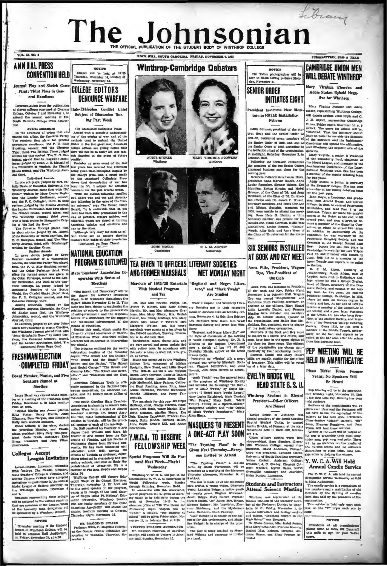# Library The Jol hnsonian HE OFFICIAL PUBLICATION OF THE STUDENT BODY OF WINTHROP  $\frac{1}{2}$

**DOCT WIT COMPY CAROLINA WRITING MORPHERED & 1000** 

## VOL. 13, NO. 8

# **ANNUAL PRESS CONVENTION HELD**

Journal Play and Sketch Cor First: Third Place in General Excellence

from the publicatio responsant results are published at the conditional conditional conditional conditional conditional conditional conditional conditional conditional conditional conditions of the Subject of Discussion Durbure of the conditi

non. Awarda Anasoneed (By Associated Collegiate Press)<br>
In the uswards cf prizes that climate the functional masted into the condition understand<br>
masted this affair, the Converse Parity ing of the origina of war, and of

masko second, and The Winkhrop Jour-<br>
being given Jialo-Ehlungan chup is the college peas, and the college peas, and outgoing the college peas, and outgoing the structure and the structure of the structure of the structur

son of the University of North Carolina<br>the Winthrop Journal placed first with John Grim all's Gone," by Betty Car the Conv.  $\overline{a}$ ent. se the La nder Kroti slan, third, The tinued From Page One)

# **FRESHMAN ELECTION COMPLETED FRIDAY**

# Board Member, Planist, and Fiv-

Senators Named at Meeting

Laura Hazel was elected board r beurs mass was evered board members<br>Friday, November 1, in Main audito-<br>Flum at 6:59.<br>Westeln Martin was chosen plants:

Martin was chosen pl ty Foster, Nancy Havris, 1988

nday, are: Plo ding 16 t; Mary Cary, vice-pre-<br>Scott, secretary; Elser<br>urer; and Joan Film president;<br>Sadie So

### **Colleges Accept** League Invitation

uber meeting of the Student<br>of Winthrop College, will be<br>Johnson Hall Auditorium,<br>sy, November 21, at 4:00.

NOTICE Chapel will be held at 12:30<br>Thursday, November 14, indiced of<br>Wednesday, November 13.

# **COLLEGE EDITORS DENOUNCE WARFARE**

 $\frac{1}{2}$ (By As  $ke$   $Pr$ 

**COLLEGE LABORITY COMPUTER CONTROL** (Solution International Representation I. Wednesday<br>
The Circular Columbia certains and both a Education. He is a Bable College The Circular Columbia certains and both Fig. 1.<br>
The Circ

 $[Proposition 2.1.2.3, [1] \label{prop:oposition 2.1} The following theorem, we have a nontrivial solution. Theorem 3.1.3, the first term is given by the following notation  $Ab^2$ .  
and the form of the form  $A^2$  and  $A^2$ .  
As follows that, the form of the form  $A^2$  and  $A^2$  is a linearly independent.  
where 7.$ 



nie ew



 $mnA$ 

C. L. M. ALPORT

**JOIN ROYLE**  $\frac{u}{2}$ 

### TEA GIVEN TO OFFICERS LITERARY SOCIETIES AND FORMER MARSHALS **MFT MONDAY NIGHT**

**NOTICE** NOTICE<br>The Tatler photographer will be<br>the to finish taking pictures Monday. November 11.

**INITIATES EIGHT** President Instructs New Mer

**SENIOR ORDER** 

the senior Cruer of 1950, according at midnight. Saturday, November 2, in

at midnight, team and the common stall of the basic common spellowing the initiation ceremonies<br>the members of the two Senior Orders<br>discussed business and plans for the

rear.<br>ra installed were Louise Howe,  $14.001$ Members installed were Louise Howe,<br>president; Anna Marian Busbee, Anna House Renneker, Eleanor Hobson, Dot<br>Manning, Ewdyn Rhodes, and Mabel<br>Browne, of the Glass of '96; and Jean-<br>Browne, of the Glass of '35. Dr. Shel-Brasham, of the Chase of 35. Dr. Shel-<br>ton Pholge and Dr. James P. Kinerd, then Pholge and Dr. James P. Kinerd,<br>henerary members, and Betty Cartinon<br>and Mirtam Speight, members for 1830, were umkle to attend the meti-<br>tap.

# SIX SENIORS INSTALLED AT ROOK AND KFY MEET

#### Anna Ditto Desoldant Wagner Dye, Vice-President of the Club

### **Students and Instructors** Attend Science Meeting

Trusteady attention, revenues at the following:<br>
The easily made up of the following:<br>
The easily made up of the following:<br>
NET, Curicle, a going widow, Chaidede by the terms of<br>
of the stars, Figgs and Pherman:<br>
France S 

**CAMBRIDGE UNION MEN** WILL DERATE WINTHROP

Mary Virginia Plowden and Addie Stokes Uphold Nega- $\begin{array}{c}\n\text{Covman} & \text{Cprojman} \\
\text{Covman} & \text{Cprojman} \\
\text{Covman} & \text{Cprojman} \\
\text{Covman} & \text{Cprojman} \\
\text{Covman} & \text{Cprojman} \\
\text{Covman} & \text{Cprojman} \\
\text{Covman} & \text{Cprojman} \\
\text{Covman} & \text{Cprojman} \\
\text{Covman} & \text{Cprojman} \\
\text{Covman} & \text{Cprojman} \\
\text{Covman} & \text{Cprojman} \\
\text{Covman} & \text{Cprojman} \\
\text{Covman} & \text{Cprojman} \\
\text{C$ 

Mary Virginia Ployden and Addis

**Example 11** Instructs New Mem-<br>
Mary Virginia Playeten and Addie bers in Ritual; Installation will debate agents don Royle and C.<br>
Follows and C. The state agents of the state agents of the state agents of the state of t

**F** or the measurement the legislatura.<br>
The constrained the legislatura.<br>
In the distribution of the simulation, the regarder and constraints, then, a<br>
and Whathrop, the regarder and manger of the simulation, or the Stra

Inner Temple, and express the company of the bar.<br>C. J. M. Alport, formerly of to the bar.<br>  $C$ ,  $\lambda$ . All port, formerly of Johannesbarg, South Africa, now of<br>
London, went lirst to Hallsyburg Col-<br>
London, went here he was a School Prefect,<br>
Here of Hall Change, georetic prefect,<br>
Here of Hall Cha Itistory and iaw. At the end c<br>became a member of the Com<br>the Union; and a year later,<br>of the Union. He has also be JOMMIttee<br>er Monaide -moss, and a pwar later, lycenizent left the Union. He has also been free-<br>and the Marchard density, and President of the Marchard Scolier president<br>gramme in the Marchard density and Presidential dent of the Markin can<br>b

PFP MFFTING WILL RF **HEID IN AMPHITHEATRE** 

**Plans** Differ From Former Tears: No Speakers Will **Be Honed** 

Ban Monting with he in the conducts even meeting will be in the amputtne-<br>otre Monday night, November 18. This<br>is the first time Pen Menting has been and contain 

und outdoors.<br>- Sections of the exchipteries with the Sections of the amphitheatre will be<br>given each class and the Freshmen will<br>not have to use the equivalent of the<br>bakony as has been done heretofore.<br>Cheer-leaders "Diddy" Burnett, "Sta" as *avretotore*.<br>Burnett, "Sis"<br>m and Jers Jones, Frances Roughton,

Firm, will lead these sections,<br>Winner of the meet will be judged on<br>the perp in rendering their class amag,<br>sixer sump, perp amag will . There we<br>will be no speeches on the merits of<br>the various teams and no elaborate<br>dec

#### $Y, W, C, A, W$ ill Hala Annual Candle Service

The Y. W. C. A. will hold its a The Y. W. C. A. will hold its annual flecognition flerois Wednesday at 6:30<br>In Main Auditorium.<br>In Main Auditorium.<br>The candle service is a recognition of odd in the members and a reaffilizition of odd<br>members by the ligh

organization.<br>This service is held only once each<br>year, so the "Y" urges each one to

nition of<br>m of old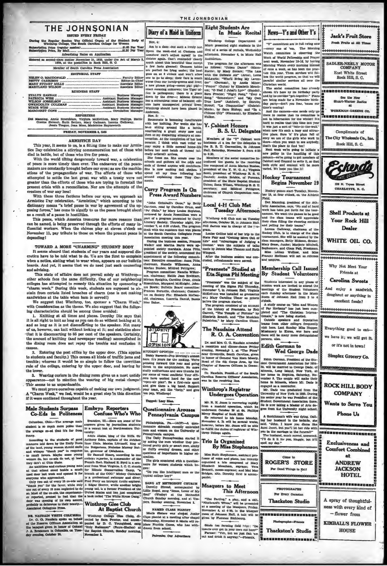# THE JOHNSONIAN

of the Regular Session The Official Organ of the St.<br>Winthrop College, The South Oarolina College for We

| Advertising Rates on Application                                                                                                          |  |
|-------------------------------------------------------------------------------------------------------------------------------------------|--|
| Entered as second-class matter November 21, 1923, under the Act of March<br>1879, at the nostoffice in Rock Hill, S. C.                   |  |
| Member of South Carolina Press Association                                                                                                |  |
| <b>EDITORIAL STAFF</b>                                                                                                                    |  |
| <b>BUSINESS STAFF</b>                                                                                                                     |  |
| BERGE WISE __________________________________Assistant Business Manage<br>MARGARET CONE accommodation accommodation of Circulation Manage |  |
| <b>REPORTERS</b>                                                                                                                          |  |

ilag, Annie Rosenbium, Virginia McKeithen, Mary Phillips, Ine Sicwart, Ruth Bethea, Mary Gallman, Lorena Galloway, Jessie Teague, Jean Moss, Madeleine Haynsworth

FRIDAY, NOVERMER 4, 1935

#### **ARMISTICE DAY**

This year, it seems to us, is a fitting time to make our Armis tice Day-celebration a stirring commemoration not of those who died in battle, but of those who live for peace.

## With the world tilting dangerously toward war, a celebration of peace is more timely than ever. The endeavors of the peace-makers are constantly brought before our eyes; as are the machinations of the propagandists of war. The efforts of those who attempted to settle the last great war with a treaty were not greater than the efforts of those who are trying to forestall the present crisis with a reconciliaton. Nor are the attempts of the creators of war any less!

With these three factions before our eyes, we approach an<br>Armistice Pay celebration. "Armistice." which according to the dictionary means "a brief pause in war by agreement of the op-<br>posing forces," has come to signify to us the peace brought about as a result of a pause in hostilities.

This peace, which America treasures for more reasons than can be named, is being preserved through the efforts of many in-<br>fluential workers. When the chimes play at eleven o'clock on November 11, pay tribute to those on whom the present peace is depending!

#### TOWARD A MORE "CHARMING" STUDENT BODY

It seems absurd that students of our vears and supposed dis cretica have to be told what to do. We are the first to complain when a notice, stating what to wear when, appears on our bulletin boards. And yet, it seems that we do need just such counseling advising.<br>This state of affairs does not prevail solely at Winthrop

inus same o satuars access one prevail stock that a structure of the same difficulty. One of our neighboring colleges has attempted to remedy this situation by sponsoring a "charm week." During this week, students are supp sandwiches at the table when ham is served!)

We suggest that Winthrop, too, sponsor a "Charm Week,"<br>with Consideration as the theme. We also suggest that the following characteristics should be among those avoided:

1. Knitting at all times and places. Dorothy Dix says that it is all right to knit as long as you can do so without looking at it, and as long as it is not disconferting to the speaker. Not many ad us, however, can knit without looking at it; and statistics show<br>that it is disconcerting to 85 per cent of the speakers. Certainly, the amount of knitting (and newspaper reading) accomplished in<br>the dining room does not repay the trouble and confusion it  $C<sub>0</sub>$ 

S. Entering the post office by the upper door. (This applies<br>to students and faculty.) This causes all kinds of traffic jams and<br>trouble; whereas it would be so simple to follow the unwritten rule of the college, entering by the upper door, and leaving by the lower.

Wearing curlers in the dining room gives us a most untidy  $\overline{\mathbf{a}}$ appearance-not to mention the wearing of hig metal clamps This seems to us unpardonable.

We must prove ourselves capable of making our own judgment. A "Charm Week," we feel, would be a great step in this direction<br>if it were continued throughout the year.

#### Embryo Reporters Confuse Who's Who Co-Eds in Politeness

Columbus, Ohio-The average male student is so much more polite than

**Male Students Surpass** 

function and the students of good and mean<br>grading to the students of good of the land, young we<br>mean aboutd smaller and or the land, young we mean aboutd smaller<br>and whale relation by the small favor. Maybe some young we

Only two out of every 15 co-eds said<br>"thank you" for the favor, while only dependent of every 15 men neglected to do<br>no. Most of the co-eds, the experiment-<br> $er$  reported, are<br>meet to feed that the co-eds, the experiment-<br>

DE NAUDAIN VIBITS COLUMBIA<br>Dr. G. G. Naudain spoke on behalf<br>of the Reserve Ciffelors Association at<br>the banquet given in honor of Colonel<br>J. A. Receionen in Columbia on Tues-

aston, Ell.-Here are some of the answers given by journalism stu

steament in some parameter possess to<br>an in a recent less air Northwestern Uniterparts. The matter parameter<br> $\Delta t$  and the strains of good Anthony Eds., then a relation<br> $\Delta t$  and the strains and the strains and the strain

### **Winthrop Glee Club** At Baptist Church

Winthrop College Gies Clubs, directed by Sara Proctor, and a d, sang " (Paure-Shelley) at the Be otist Chu ch. Su nday nam

Nov. 4:

Am in a daze-but such a lovely on Am in a daze-but auch a lovely one, a<br>Spen the week-end at Olemson and common out and the spent of the source<br>somehow can't adjust myssific to the control of the spent of the spent<br>in a much a mout this beautiful time exc a new phrase going-o 0000 plg! plg!exact meaning unknown; the Tiger of-<br>stact meaning unknown; the Tiger of-<br>fice is pathogenie; there is a place<br>down by the river--; Minnle Greene<br>has a miraculous reme of balance; ediors have unsus ected private lives;

Diary of a Maid in Uniform

Winthrop should have been placed in nders Nov. 5: nmate is becoming insufferabl

dth her knitting. For weeks she has when the massive of the absolute and the absolute of the conditions of the completion of the conversation. At the completion of her last seration. At the completion of her last<br>weater, I think with vast relief we<br>may enjoy a little normal home-life<br>before her next batch of thread (already ordered) arrive

ready ordered arrives, and the coults over the<br>color and gathers all the odds and<br>schools and gathers all the odds and<br>ends of thread anyone will contribute.<br>She is now making doll obthes.<br>spend all my time following heat<br>

#### Curry Program Is On **Press Award Numbers**

"John Grimhall's Gone," by Beth<br>urison, read by Caroline Crum, an Carrison, read by Ca "Po' Chile," by Mary Louise Boy<br>"Po' Chile," by Mary Louise Boy<br>reviewed by Annie Rosenblum w reviewed by Annie Rosenhium were<br>part of a program presented by Culturary Boeiety, Thursday night, N<br>Literary Boeiety, Thursday night, N<br>vember 7, at 6:30 o'clock. The progra<br>dealt with the numbers that won plat<br>at the Sou

ecasi wano die numbera tana weny parochi a termino beling that years.<br>Association mesing that years, David Density and Markon Barantin and Markon Barantin and Markon Barantin parters and Markon application of the society,

nie Bowie; Bulletin Board co mitte nie zowie; zuneam zoaru committee<br>Frances Burnette, chairman; Committee<br>tee on Society Pin: Elisabeth McDon old, chairms<br>Mac Baker, sirman, Lucretia Danisi, Bessi



ITUDENT OPINAL-Pep Meetings and contract and going work for the matrix. We<br>premise for the matrix. We premise formed this year and going<br>in the amphithesite. No more thanks for the amphithesite. No more Orrect in the amphibites<br>the four model of state in the model of statify auditoriums and sore thum<br>be four some of vecal conflicts! Your officers have worked hard for the near<br>"open-sir plan". Be a first-rate sport<br>and giv

Tacred: Loey Slan.

#### Questionnaire Arouses Pennsylvania Campus

Philadelphia, Pa.-(ACP)-A qu

Fhiladelphia, Pa.—(AGP)--A. ques-<br>neixh recently embroided in the base of the mean and women on the University of The Pennsylvania embrand in the Pennsylvania embrand in the pre-<br>free pennsylvania embrand in the pre-<br>penn

uestions of importance in higher education.<br>The girls countered with a question<br>usire for women students which by

"Do you like intelligent men or the<br>"Do you like intelligent men or the<br>typical college toy?"

SANG AT METHODIST CHURCH Derothy Stroud, accompanied by Stave and Bround, accompanied by<br>Lillie Rogol, sang "Jesus, Lover of My<br>Soul" (Wesley) at the Methodist<br>Church Sunday morning, and at Ves<br>pers, Bunday evening, November 2.

NAMED CLASS FIANIST

Mecis Sistare was releved Junior Mass planist at a meeting after chapel<br>Wechesday, November 4. Macie will re-place Frankis Guess, who has with-<br>drawn from school.

Patroniso Our Adverti

#### Eight Students Are In Music Recital

Winth on College Department le presented eight students in th first of a series of rechais. Wednesday afternoon, November 6, in Music Hall Auditorium.

The program- for the afterness follows: "Cuban Dance" The program, for the afternoom was follows: "Cuban Dance" (Mann<br>Excess), by Macy Sistere; "The Las<br>With the Delibsite Air" (Arone), Lommith the Delibsite Air" (Arone), Lommit<br>MeLaurin; "Who'll Bring My Laven<br>der" (German), "Proper" (Gulon) by Elizabeth Meach<br>any, "O Had I Jubal's Eagre" (Handel Sara Proctor; "Night Rong," "Sver<br>Sang," "Smessherr," and "May Owe<br>True Love" (Ashford), by Doroth<br>Norte, by Sara Elahop; and "The Notele, by Sara E wana<br>Walio

### Y. Cabinet Honors **B. S. U. Delegates**

Mumbers of the "Y" Cabinet we hostesses at a tea for the delegate the B. B. U. Convention, in .74 ention, in John Hall, Saturday, November 2, from 4:30  $0.5:30.$ 

to S:30.<br> Nombers of the social committee in-troduced the guests to the receiving<br>line composed of Anna Marian Bushee, president of the<br> $Tx$ W. C. A., Virginian Section, Section, president of Winkings<br> $B_x$ S. Council; Archi

### Local 4-H Club Met **Tuesday Afternoon**

Winthrop 4-H Club met on Tuesday<br>fic-moon, October 29, in Johnson Hall<br>fell farnes was in charge of the pro

gram.<br>Incuise Collins told of her trip to the<br>State Fuir and "Getting More Out of<br>Life" and "Advantages of Judging a<br>Contest.' were the subjects of talks<br>made by Jennie Mac Thomas and Ruth<br>made by Jennie Mac Thomas and Rut

After sacu.<br>ier the business ac<br>:d, refreahments we

#### Eta Sigma Phi Meeting **By Student Volunteers**

"Praenents" was the subject of the<br>meeting of it is Sigma Phi Thursday<br>November 1, in Johnson Esail Virginian<br>MeKelhara was installed as granacture<br>and Mary Caroline Ulmer as pylori<br>And Mary Caroline Ulmer as pylori  $\overline{\phantom{a}}$ 

before the program consisted.<br>The program consisted of an account of the history of Praenesta, by Nel<br>Clarrett, "The Temple of Fortunes" by<br>Elissbeth Brandt, and "The Musician<br>Palestrina," by Mary Carolina Ulmer

R. O. A. Convention

Dr. and Mrs. G. G. Naudain atte reception and dinner-dance P. Vening, Novembar, 1, at "The P. **Priday** Bouth Carolina, give<br>eral Van Horn Mosel<br>1 Corps Area, by the Officers in Gass in b  $x \alpha$  G rea, by the ad of the 4th Co  $r$  of  $R$  $_{\text{Chat}}$ /Ille

#### Dr. Naudain, President of the Southern arotha Reserve Office<br>vas in the receiving <sup>11</sup> Car ur Ilme

**Undergoes Operation** 

Mr. R. H. Jones is recovering rapidly<br>com a masteld operation, which he according rapidly<br>determine Crischer 29 at 64. Finillips<br>deriver, Bospital of Rock Hill.<br>He returned to his home Monday.<br>November 4. It will be severa ntuaent teorernment association mere<br>He is now taking a Master of Arts de<br>gree from the University night schoo

A Scotchman's wife was dying. Call-<br>hap for the base of the base of the base of the base of the base, the<br>stand is the base of the state of the state of the state of the state<br>point of the transferse of the state of the s

Trio Is Organized

**By Miss Stephenson** 

Meacham, soprano; Ve. mezo-soprano; and Mai Mai<br>aito. Dorothy Reid is accon

"The Parting," a play, and a ski, "Birebeard's Wires," will be presented at a meeting of the Masquers, Priday, November 4, at 4:00, in the Masquers, Priday, room of Johannon Hall. A talk will be given by Farunoe Richbourg

Stude (on farming field trip); "Do Farmer: "Yeh, but we just fish to

'em. The Morning<br>ee is observing the Watch comm Weck of World Fellowship and Prayer<br>next week, November 10-16, by having Morning Watch every morning instead<br>of once a week, as has been the prac ne instead or succe is ween, These services will fol-<br>low the world program, so that we will<br>parallel similar services all over the Christian world Christian world.<br>
The social committee has already<br>
shown it's here by its birthday party<br>
and by its corridor "get-together." Plans<br>
are being made for a November birth-<br>
day party—don't you fear, 'cause out<br>
dime's comi 

News-Y's and Other Y's

"Y" committees are in full swing no

every one of 'em.

Jack's Fruit Store

SADLER-NEELY MOTOR

COMPANY

East White Street Rock Hill, S. C.

See the Ne Shiert, 127

at:

WORKMAN-GREENE CO.

a se o e se posa e se se o e o f

Compliments of

Rock Hill, S. C.

128 N. Tress St

**CHARLOTTE, N. C.** 

**Shell Products at** 

Your Rock Hill

**Dealer** 

WHITE OIL CO.

Why Not Meet Your

Friends at

Carolina Sweets

And enjoy a sandwich,

doughnut or anything in

excellent foods?

Everything good to eat-

we have it; we will get it.

or it's not in town!

Simplex Grocery Co.

**ROCK HILL BODY** 

**COMPANY** 

Wants to Serve You

Phone Us

,,,,,,,,,,,,,,,,,,,

Exclusiveness and

**Comfort Combined** 

mit

**ANDREW** 

**JACKSON** 

.<br>Leuguro 2000 este de la

A spray of thoughtful-

ness with every kind of

**KIMBALL'S FLOWER** 

**HOUSE** 

-flower from

**HOTEL** 

**BIBIBIBIBIBI** 

City Wholesale Co., Inc.

The

Radios

Fresh Fruits at All Tim

tary personality to the mean wave outlined that the consideration of the base of the state of the mean of the state of the state of the state of the state of the state of the state of the state of the state of the state of en you want to see anybody,

hat's the pl e to find 'em! ek we're going to initiate a Next we ew policy in the handling of this column—we're going to get members of<br>Cabinet and Counsel to write it, so that

oth style and content will be mor varied. We hope you like it! **Hockey Tournament** 

**Begins November 19** 

Hockey games start Tuesday, Novem

Field.<br>Dot Manning, president of the Ath-<br>letic Association, says, "No end of hard<br>work has been put forth for the tourent. We want the games to be good and the class teams will appreciate<br>their class filling the cheering sections and yelling for their teams." an of the

Lorena Calloway, chairman of Hockey Club, is in charge of the c tourn nent. She will be as isted by the class managers, Betty Hickson, Se Mary Sease, Junior: Marioric Mitchell more, and Clam Fall, Pr

ns from other colleges frequently dait bers, Last Sunday Miss Honne

**Wed George Dade** 

Edith Gorman, President of the Sto-

**ROGER'S STORE** 

For Good Things to Eat!

**PHOTOGRAPHS** 

**Thackston Studio** 

scrapha...Frames

Thackston's Studio

...............

For Every Occasi

Pho

nuss Lillian Wollner, and Mis

#### "Praeneste" Studied at Membership Call Issued

Students interested in any pi mission work are invited to attend the meetings of the Student Volunteers<br>meetings of the Student Volunteers<br>each Sunday afternoon in the Music<br>Room of Johnson Hall from 3 to 4

A study course on "Men and Womof Far Hortsons" has just been com-<br>pleted and "The Christian Internaionale," is now being studied.<br>Outside speakers and deputation

The Naudains Attend

dissionary to Korea, was he Edith Gorman to

Equin Gorman, President of the Studies.<br>
Send Covernment Association for 1934-<br>
35, will be married to George Dade, of<br>
Mincola, Long Esland, New York, at<br>
her home in Hopkins, Saturday, No-<br>
berne in Hopkins, Saturday, No ngaged as a contractor.

s, also

Winthrop's Registrar engages as a contractor.<br>Mr. Dade was graduated from the<br>University of New York in 1925, During<br>his zenior year he was President of the<br>Student Government Association there.

ifill the duties of registrar of Win rop College again.

Ruth Stephenson, aaststant pro-<br>of voice and plano, has recently<br>lized a trio composed of Mary<br>seth Meacham, sond Mai Mar h Film fessor of v<br>organized<br>Elizabeth

### Masquers to Meet This Afternoon

....................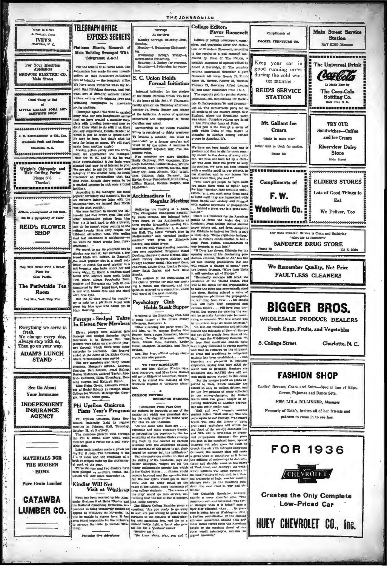

 $\alpha$ 

· HOME

**Pure Grain Lumber** 

**CATAWBA** 

LUMBER CO.

K



**Say Over Advant** 

 $\overline{u}$